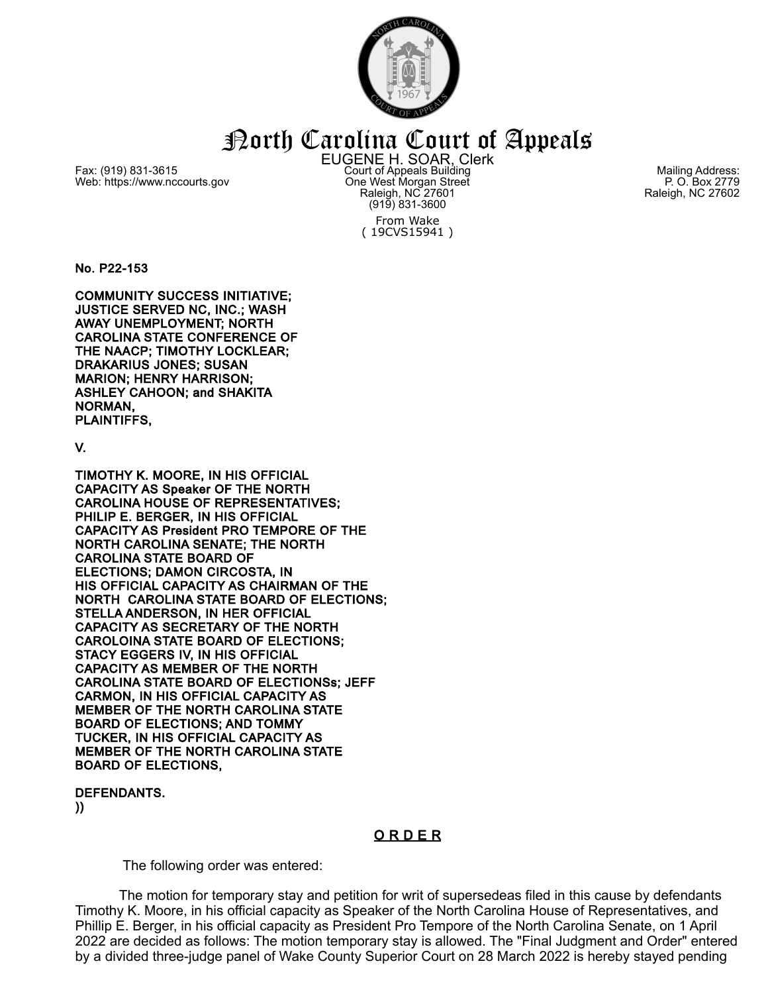

North Carolina Court of Appeals

Fax: (919) 831-3615 Web: https://www.nccourts.gov EUGENE H. SOAR, Clerk Court of Appeals Building One West Morgan Street Raleigh, NC 27601 (919) 831-3600 From Wake ( 19CVS15941 )

Mailing Address: P. O. Box 2779 Raleigh, NC 27602

No. P22-153

COMMUNITY SUCCESS INITIATIVE; JUSTICE SERVED NC, INC.; WASH AWAY UNEMPLOYMENT; NORTH CAROLINA STATE CONFERENCE OF THE NAACP; TIMOTHY LOCKLEAR; DRAKARIUS JONES; SUSAN MARION; HENRY HARRISON; ASHLEY CAHOON; and SHAKITA NORMAN, PLAINTIFFS,

V.

TIMOTHY K. MOORE, IN HIS OFFICIAL CAPACITY AS Speaker OF THE NORTH CAROLINA HOUSE OF REPRESENTATIVES; PHILIP E. BERGER, IN HIS OFFICIAL CAPACITY AS President PRO TEMPORE OF THE NORTH CAROLINA SENATE; THE NORTH CAROLINA STATE BOARD OF ELECTIONS; DAMON CIRCOSTA, IN HIS OFFICIAL CAPACITY AS CHAIRMAN OF THE NORTH CAROLINA STATE BOARD OF ELECTIONS; STELLA ANDERSON, IN HER OFFICIAL CAPACITY AS SECRETARY OF THE NORTH CAROLOINA STATE BOARD OF ELECTIONS; STACY EGGERS IV, IN HIS OFFICIAL CAPACITY AS MEMBER OF THE NORTH CAROLINA STATE BOARD OF ELECTIONSs; JEFF CARMON, IN HIS OFFICIAL CAPACITY AS MEMBER OF THE NORTH CAROLINA STATE BOARD OF ELECTIONS; AND TOMMY TUCKER, IN HIS OFFICIAL CAPACITY AS MEMBER OF THE NORTH CAROLINA STATE BOARD OF ELECTIONS,

DEFENDANTS.

))

## O R D E R

The following order was entered:

The motion for temporary stay and petition for writ of supersedeas filed in this cause by defendants Timothy K. Moore, in his official capacity as Speaker of the North Carolina House of Representatives, and Phillip E. Berger, in his official capacity as President Pro Tempore of the North Carolina Senate, on 1 April 2022 are decided as follows: The motion temporary stay is allowed. The "Final Judgment and Order" entered by a divided three-judge panel of Wake County Superior Court on 28 March 2022 is hereby stayed pending